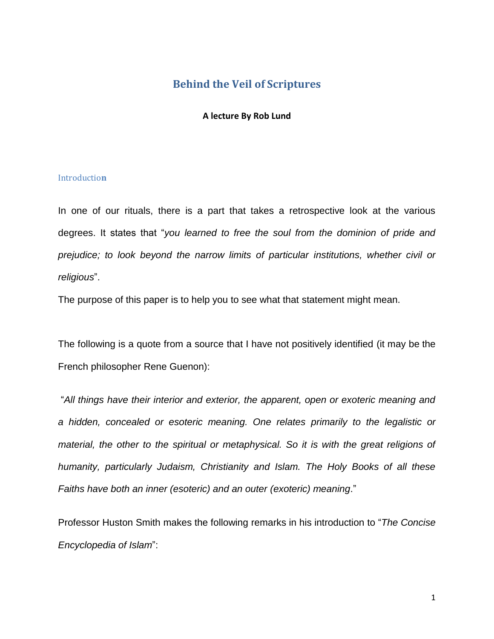# **Behind the Veil of Scriptures**

### **A lecture By Rob Lund**

### Introductio**n**

In one of our rituals, there is a part that takes a retrospective look at the various degrees. It states that "*you learned to free the soul from the dominion of pride and prejudice; to look beyond the narrow limits of particular institutions, whether civil or religious*".

The purpose of this paper is to help you to see what that statement might mean.

The following is a quote from a source that I have not positively identified (it may be the French philosopher Rene Guenon):

"*All things have their interior and exterior, the apparent, open or exoteric meaning and a hidden, concealed or esoteric meaning. One relates primarily to the legalistic or material, the other to the spiritual or metaphysical. So it is with the great religions of humanity, particularly Judaism, Christianity and Islam. The Holy Books of all these Faiths have both an inner (esoteric) and an outer (exoteric) meaning*."

Professor Huston Smith makes the following remarks in his introduction to "*The Concise Encyclopedia of Islam*":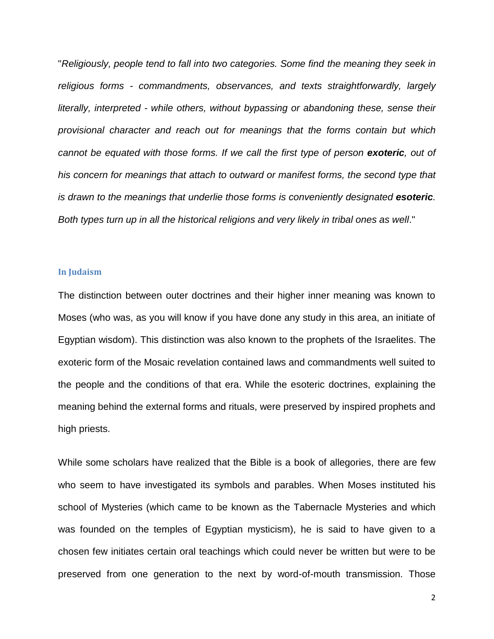"*Religiously, people tend to fall into two categories. Some find the meaning they seek in religious forms - commandments, observances, and texts straightforwardly, largely literally, interpreted - while others, without bypassing or abandoning these, sense their provisional character and reach out for meanings that the forms contain but which cannot be equated with those forms. If we call the first type of person exoteric, out of his concern for meanings that attach to outward or manifest forms, the second type that is drawn to the meanings that underlie those forms is conveniently designated esoteric. Both types turn up in all the historical religions and very likely in tribal ones as well*."

#### **In Judaism**

The distinction between outer doctrines and their higher inner meaning was known to Moses (who was, as you will know if you have done any study in this area, an initiate of Egyptian wisdom). This distinction was also known to the prophets of the Israelites. The exoteric form of the Mosaic revelation contained laws and commandments well suited to the people and the conditions of that era. While the esoteric doctrines, explaining the meaning behind the external forms and rituals, were preserved by inspired prophets and high priests.

While some scholars have realized that the Bible is a book of allegories, there are few who seem to have investigated its symbols and parables. When Moses instituted his school of Mysteries (which came to be known as the Tabernacle Mysteries and which was founded on the temples of Egyptian mysticism), he is said to have given to a chosen few initiates certain oral teachings which could never be written but were to be preserved from one generation to the next by word-of-mouth transmission. Those

2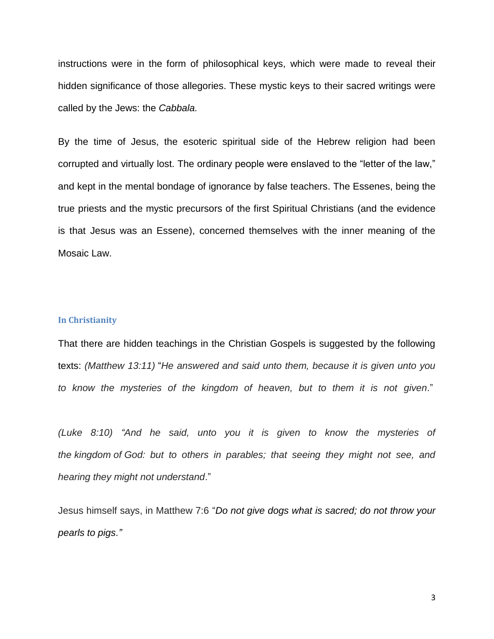instructions were in the form of philosophical keys, which were made to reveal their hidden significance of those allegories. These mystic keys to their sacred writings were called by the Jews: the *Cabbala.*

By the time of Jesus, the esoteric spiritual side of the Hebrew religion had been corrupted and virtually lost. The ordinary people were enslaved to the "letter of the law," and kept in the mental bondage of ignorance by false teachers. The Essenes, being the true priests and the mystic precursors of the first Spiritual Christians (and the evidence is that Jesus was an Essene), concerned themselves with the inner meaning of the Mosaic Law.

### **In Christianity**

That there are hidden teachings in the Christian Gospels is suggested by the following texts: *(Matthew 13:11)* "*He answered and said unto them, because it is given unto you to know the mysteries of the kingdom of heaven, but to them it is not given*."

*(Luke 8:10) "And he said, unto you it is given to know the mysteries of the kingdom of God: but to others in parables; that seeing they might not see, and hearing they might not understand*."

Jesus himself says, in Matthew 7:6 "*Do not give dogs what is sacred; do not throw your pearls to pigs."*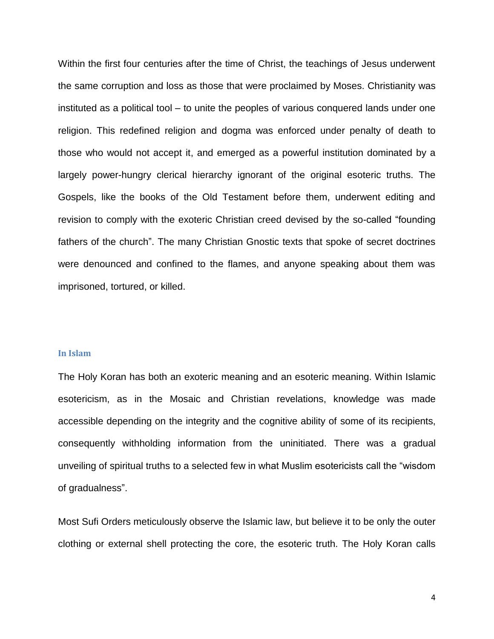Within the first four centuries after the time of Christ, the teachings of Jesus underwent the same corruption and loss as those that were proclaimed by Moses. Christianity was instituted as a political tool – to unite the peoples of various conquered lands under one religion. This redefined religion and dogma was enforced under penalty of death to those who would not accept it, and emerged as a powerful institution dominated by a largely power-hungry clerical hierarchy ignorant of the original esoteric truths. The Gospels, like the books of the Old Testament before them, underwent editing and revision to comply with the exoteric Christian creed devised by the so-called "founding fathers of the church". The many Christian Gnostic texts that spoke of secret doctrines were denounced and confined to the flames, and anyone speaking about them was imprisoned, tortured, or killed.

#### **In Islam**

The Holy Koran has both an exoteric meaning and an esoteric meaning. Within Islamic esotericism, as in the Mosaic and Christian revelations, knowledge was made accessible depending on the integrity and the cognitive ability of some of its recipients, consequently withholding information from the uninitiated. There was a gradual unveiling of spiritual truths to a selected few in what Muslim esotericists call the "wisdom of gradualness".

Most Sufi Orders meticulously observe the Islamic law, but believe it to be only the outer clothing or external shell protecting the core, the esoteric truth. The Holy Koran calls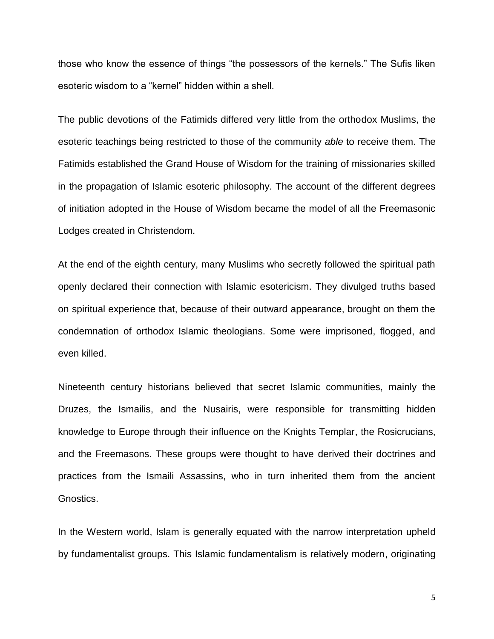those who know the essence of things "the possessors of the kernels." The Sufis liken esoteric wisdom to a "kernel" hidden within a shell.

The public devotions of the Fatimids differed very little from the orthodox Muslims, the esoteric teachings being restricted to those of the community *able* to receive them. The Fatimids established the Grand House of Wisdom for the training of missionaries skilled in the propagation of Islamic esoteric philosophy. The account of the different degrees of initiation adopted in the House of Wisdom became the model of all the Freemasonic Lodges created in Christendom.

At the end of the eighth century, many Muslims who secretly followed the spiritual path openly declared their connection with Islamic esotericism. They divulged truths based on spiritual experience that, because of their outward appearance, brought on them the condemnation of orthodox Islamic theologians. Some were imprisoned, flogged, and even killed.

Nineteenth century historians believed that secret Islamic communities, mainly the Druzes, the Ismailis, and the Nusairis, were responsible for transmitting hidden knowledge to Europe through their influence on the Knights Templar, the Rosicrucians, and the Freemasons. These groups were thought to have derived their doctrines and practices from the Ismaili Assassins, who in turn inherited them from the ancient Gnostics.

In the Western world, Islam is generally equated with the narrow interpretation upheld by fundamentalist groups. This Islamic fundamentalism is relatively modern, originating

5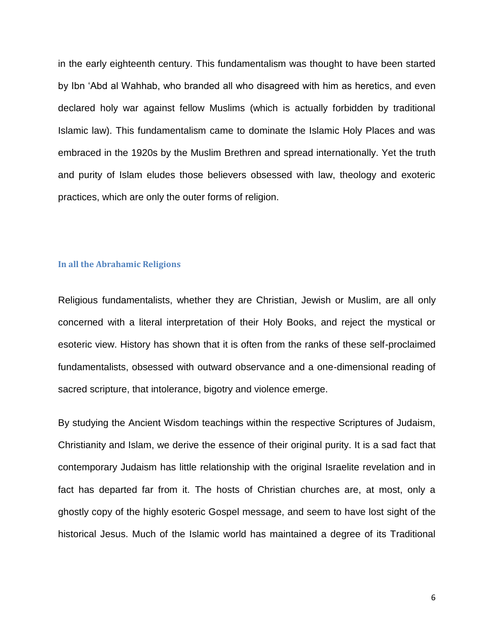in the early eighteenth century. This fundamentalism was thought to have been started by Ibn 'Abd al Wahhab, who branded all who disagreed with him as heretics, and even declared holy war against fellow Muslims (which is actually forbidden by traditional Islamic law). This fundamentalism came to dominate the Islamic Holy Places and was embraced in the 1920s by the Muslim Brethren and spread internationally. Yet the truth and purity of Islam eludes those believers obsessed with law, theology and exoteric practices, which are only the outer forms of religion.

#### **In all the Abrahamic Religions**

Religious fundamentalists, whether they are Christian, Jewish or Muslim, are all only concerned with a literal interpretation of their Holy Books, and reject the mystical or esoteric view. History has shown that it is often from the ranks of these self-proclaimed fundamentalists, obsessed with outward observance and a one-dimensional reading of sacred scripture, that intolerance, bigotry and violence emerge.

By studying the Ancient Wisdom teachings within the respective Scriptures of Judaism, Christianity and Islam, we derive the essence of their original purity. It is a sad fact that contemporary Judaism has little relationship with the original Israelite revelation and in fact has departed far from it. The hosts of Christian churches are, at most, only a ghostly copy of the highly esoteric Gospel message, and seem to have lost sight of the historical Jesus. Much of the Islamic world has maintained a degree of its Traditional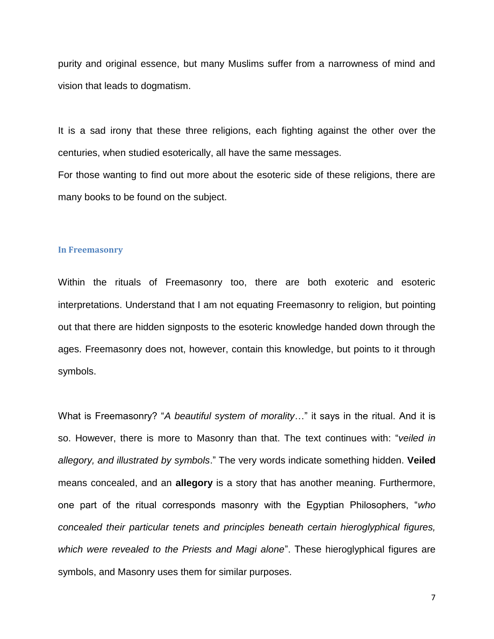purity and original essence, but many Muslims suffer from a narrowness of mind and vision that leads to dogmatism.

It is a sad irony that these three religions, each fighting against the other over the centuries, when studied esoterically, all have the same messages.

For those wanting to find out more about the esoteric side of these religions, there are many books to be found on the subject.

#### **In Freemasonry**

Within the rituals of Freemasonry too, there are both exoteric and esoteric interpretations. Understand that I am not equating Freemasonry to religion, but pointing out that there are hidden signposts to the esoteric knowledge handed down through the ages. Freemasonry does not, however, contain this knowledge, but points to it through symbols.

What is Freemasonry? "*A beautiful system of morality*…" it says in the ritual. And it is so. However, there is more to Masonry than that. The text continues with: "*veiled in allegory, and illustrated by symbols*." The very words indicate something hidden. **Veiled** means concealed, and an **allegory** is a story that has another meaning. Furthermore, one part of the ritual corresponds masonry with the Egyptian Philosophers, "*who concealed their particular tenets and principles beneath certain hieroglyphical figures, which were revealed to the Priests and Magi alone*". These hieroglyphical figures are symbols, and Masonry uses them for similar purposes.

7